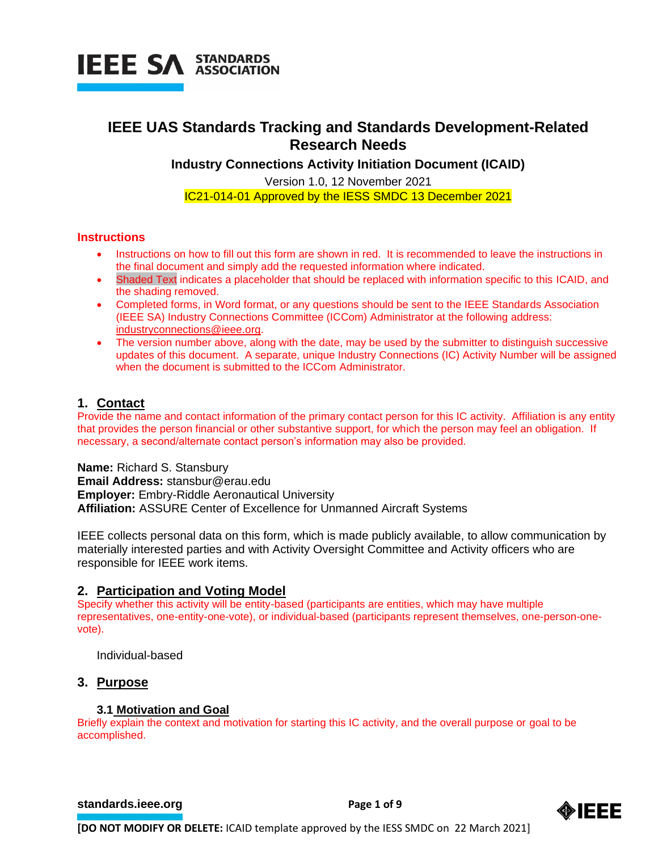

### **IEEE UAS Standards Tracking and Standards Development-Related Research Needs**

**Industry Connections Activity Initiation Document (ICAID)**

Version 1.0, 12 November 2021 IC21-014-01 Approved by the IESS SMDC 13 December 2021

#### **Instructions**

- Instructions on how to fill out this form are shown in red. It is recommended to leave the instructions in the final document and simply add the requested information where indicated.
- Shaded Text indicates a placeholder that should be replaced with information specific to this ICAID, and the shading removed.
- Completed forms, in Word format, or any questions should be sent to the IEEE Standards Association (IEEE SA) Industry Connections Committee (ICCom) Administrator at the following address: [industryconnections@ieee.org.](mailto:industryconnections@ieee.org)
- The version number above, along with the date, may be used by the submitter to distinguish successive updates of this document. A separate, unique Industry Connections (IC) Activity Number will be assigned when the document is submitted to the ICCom Administrator.

#### **1. Contact**

Provide the name and contact information of the primary contact person for this IC activity. Affiliation is any entity that provides the person financial or other substantive support, for which the person may feel an obligation. If necessary, a second/alternate contact person's information may also be provided.

**Name:** Richard S. Stansbury **Email Address:** stansbur@erau.edu **Employer:** Embry-Riddle Aeronautical University **Affiliation:** ASSURE Center of Excellence for Unmanned Aircraft Systems

IEEE collects personal data on this form, which is made publicly available, to allow communication by materially interested parties and with Activity Oversight Committee and Activity officers who are responsible for IEEE work items.

#### **2. Participation and Voting Model**

Specify whether this activity will be entity-based (participants are entities, which may have multiple representatives, one-entity-one-vote), or individual-based (participants represent themselves, one-person-onevote).

Individual-based

#### **3. Purpose**

#### **3.1 Motivation and Goal**

Briefly explain the context and motivation for starting this IC activity, and the overall purpose or goal to be accomplished.

**[standards.ieee.org](http://standards.ieee.org/) EXECUTE: Page 1 of 9** 

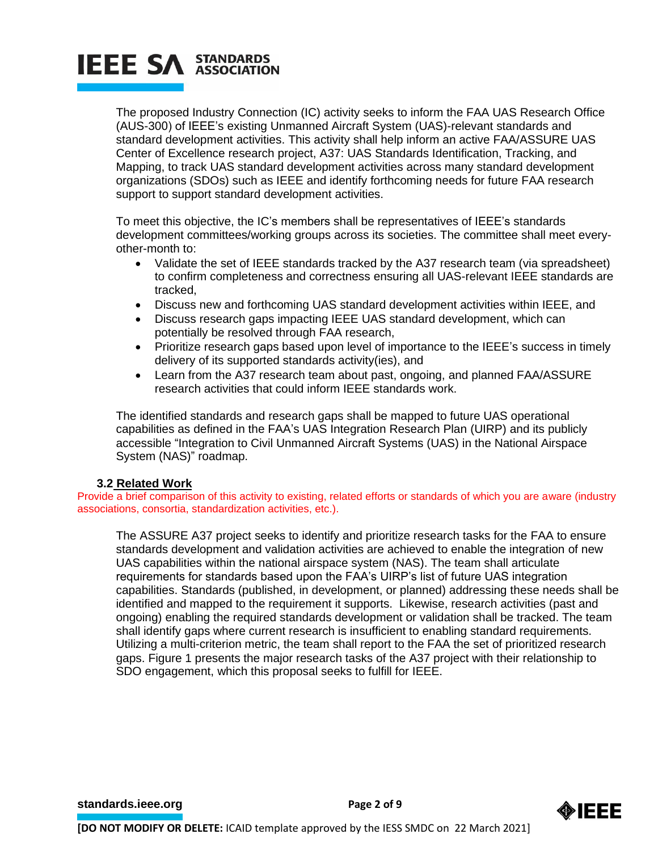The proposed Industry Connection (IC) activity seeks to inform the FAA UAS Research Office (AUS-300) of IEEE's existing Unmanned Aircraft System (UAS)-relevant standards and standard development activities. This activity shall help inform an active FAA/ASSURE UAS Center of Excellence research project, A37: UAS Standards Identification, Tracking, and Mapping, to track UAS standard development activities across many standard development organizations (SDOs) such as IEEE and identify forthcoming needs for future FAA research support to support standard development activities.

To meet this objective, the IC's members shall be representatives of IEEE's standards development committees/working groups across its societies. The committee shall meet everyother-month to:

- Validate the set of IEEE standards tracked by the A37 research team (via spreadsheet) to confirm completeness and correctness ensuring all UAS-relevant IEEE standards are tracked,
- Discuss new and forthcoming UAS standard development activities within IEEE, and
- Discuss research gaps impacting IEEE UAS standard development, which can potentially be resolved through FAA research,
- Prioritize research gaps based upon level of importance to the IEEE's success in timely delivery of its supported standards activity(ies), and
- Learn from the A37 research team about past, ongoing, and planned FAA/ASSURE research activities that could inform IEEE standards work.

The identified standards and research gaps shall be mapped to future UAS operational capabilities as defined in the FAA's UAS Integration Research Plan (UIRP) and its publicly accessible "Integration to Civil Unmanned Aircraft Systems (UAS) in the National Airspace System (NAS)" roadmap.

#### **3.2 Related Work**

Provide a brief comparison of this activity to existing, related efforts or standards of which you are aware (industry associations, consortia, standardization activities, etc.).

The ASSURE A37 project seeks to identify and prioritize research tasks for the FAA to ensure standards development and validation activities are achieved to enable the integration of new UAS capabilities within the national airspace system (NAS). The team shall articulate requirements for standards based upon the FAA's UIRP's list of future UAS integration capabilities. Standards (published, in development, or planned) addressing these needs shall be identified and mapped to the requirement it supports. Likewise, research activities (past and ongoing) enabling the required standards development or validation shall be tracked. The team shall identify gaps where current research is insufficient to enabling standard requirements. Utilizing a multi-criterion metric, the team shall report to the FAA the set of prioritized research gaps. Figure 1 presents the major research tasks of the A37 project with their relationship to SDO engagement, which this proposal seeks to fulfill for IEEE.

**[standards.ieee.org](http://standards.ieee.org/)**<br> **Page 2 of 9** 

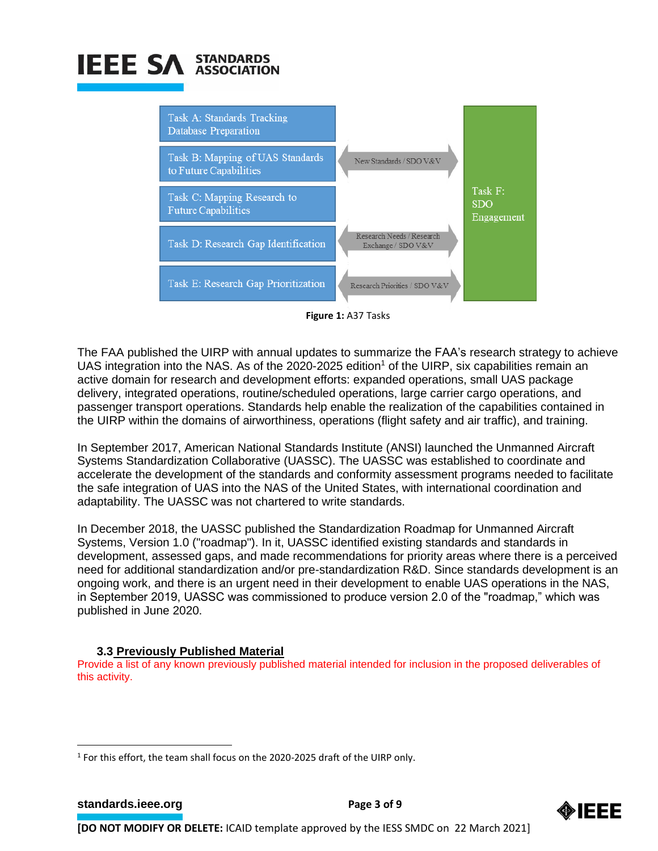

**Figure 1:** A37 Tasks

The FAA published the UIRP with annual updates to summarize the FAA's research strategy to achieve UAS integration into the NAS. As of the 2020-2025 edition<sup>1</sup> of the UIRP, six capabilities remain an active domain for research and development efforts: expanded operations, small UAS package delivery, integrated operations, routine/scheduled operations, large carrier cargo operations, and passenger transport operations. Standards help enable the realization of the capabilities contained in the UIRP within the domains of airworthiness, operations (flight safety and air traffic), and training.

In September 2017, American National Standards Institute (ANSI) launched the Unmanned Aircraft Systems Standardization Collaborative (UASSC). The UASSC was established to coordinate and accelerate the development of the standards and conformity assessment programs needed to facilitate the safe integration of UAS into the NAS of the United States, with international coordination and adaptability. The UASSC was not chartered to write standards.

In December 2018, the UASSC published the Standardization Roadmap for Unmanned Aircraft Systems, Version 1.0 ("roadmap"). In it, UASSC identified existing standards and standards in development, assessed gaps, and made recommendations for priority areas where there is a perceived need for additional standardization and/or pre-standardization R&D. Since standards development is an ongoing work, and there is an urgent need in their development to enable UAS operations in the NAS, in September 2019, UASSC was commissioned to produce version 2.0 of the "roadmap," which was published in June 2020.

### **3.3 Previously Published Material**

Provide a list of any known previously published material intended for inclusion in the proposed deliverables of this activity.

**[standards.ieee.org](http://standards.ieee.org/) EXECUTE: Page 3 of 9** 



<sup>&</sup>lt;sup>1</sup> For this effort, the team shall focus on the 2020-2025 draft of the UIRP only.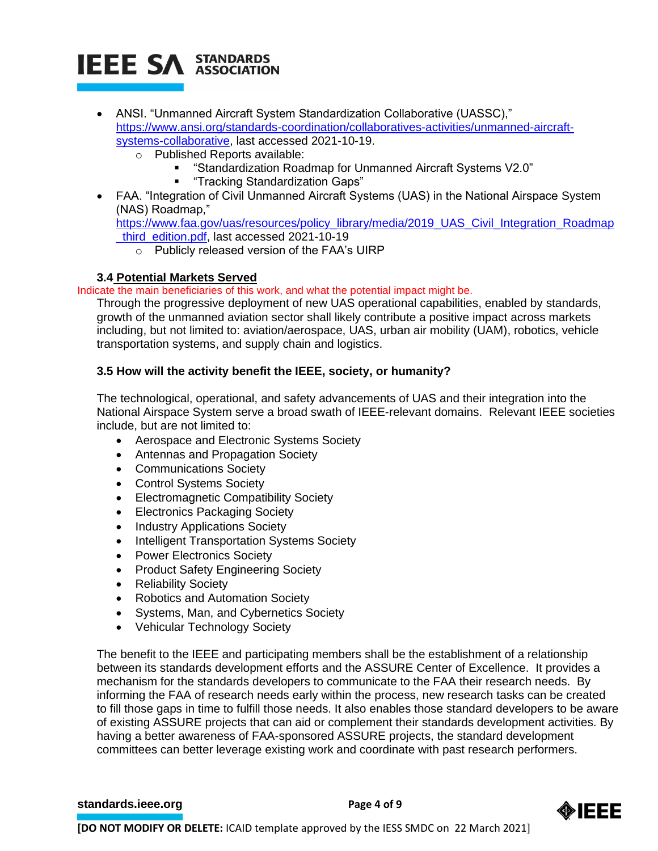- ANSI. "Unmanned Aircraft System Standardization Collaborative (UASSC)," [https://www.ansi.org/standards-coordination/collaboratives-activities/unmanned-aircraft](https://www.ansi.org/standards-coordination/collaboratives-activities/unmanned-aircraft-systems-collaborative)[systems-collaborative,](https://www.ansi.org/standards-coordination/collaboratives-activities/unmanned-aircraft-systems-collaborative) last accessed 2021-10-19.
	- o Published Reports available:
		- "Standardization Roadmap for Unmanned Aircraft Systems V2.0"
		- "Tracking Standardization Gaps"
- FAA. "Integration of Civil Unmanned Aircraft Systems (UAS) in the National Airspace System (NAS) Roadmap,"

[https://www.faa.gov/uas/resources/policy\\_library/media/2019\\_UAS\\_Civil\\_Integration\\_Roadmap](https://www.faa.gov/uas/resources/policy_library/media/2019_UAS_Civil_Integration_Roadmap_third_edition.pdf) [\\_third\\_edition.pdf,](https://www.faa.gov/uas/resources/policy_library/media/2019_UAS_Civil_Integration_Roadmap_third_edition.pdf) last accessed 2021-10-19

o Publicly released version of the FAA's UIRP

### **3.4 Potential Markets Served**

Indicate the main beneficiaries of this work, and what the potential impact might be.

Through the progressive deployment of new UAS operational capabilities, enabled by standards, growth of the unmanned aviation sector shall likely contribute a positive impact across markets including, but not limited to: aviation/aerospace, UAS, urban air mobility (UAM), robotics, vehicle transportation systems, and supply chain and logistics.

### **3.5 How will the activity benefit the IEEE, society, or humanity?**

The technological, operational, and safety advancements of UAS and their integration into the National Airspace System serve a broad swath of IEEE-relevant domains. Relevant IEEE societies include, but are not limited to:

- Aerospace and Electronic Systems Society
- Antennas and Propagation Society
- Communications Society
- Control Systems Society
- Electromagnetic Compatibility Society
- Electronics Packaging Society
- Industry Applications Society
- Intelligent Transportation Systems Society
- Power Electronics Society
- Product Safety Engineering Society
- Reliability Society
- Robotics and Automation Society
- Systems, Man, and Cybernetics Society
- Vehicular Technology Society

The benefit to the IEEE and participating members shall be the establishment of a relationship between its standards development efforts and the ASSURE Center of Excellence. It provides a mechanism for the standards developers to communicate to the FAA their research needs. By informing the FAA of research needs early within the process, new research tasks can be created to fill those gaps in time to fulfill those needs. It also enables those standard developers to be aware of existing ASSURE projects that can aid or complement their standards development activities. By having a better awareness of FAA-sponsored ASSURE projects, the standard development committees can better leverage existing work and coordinate with past research performers.

#### **[standards.ieee.org](http://standards.ieee.org/) EXECUTE: Page 4 of 9**

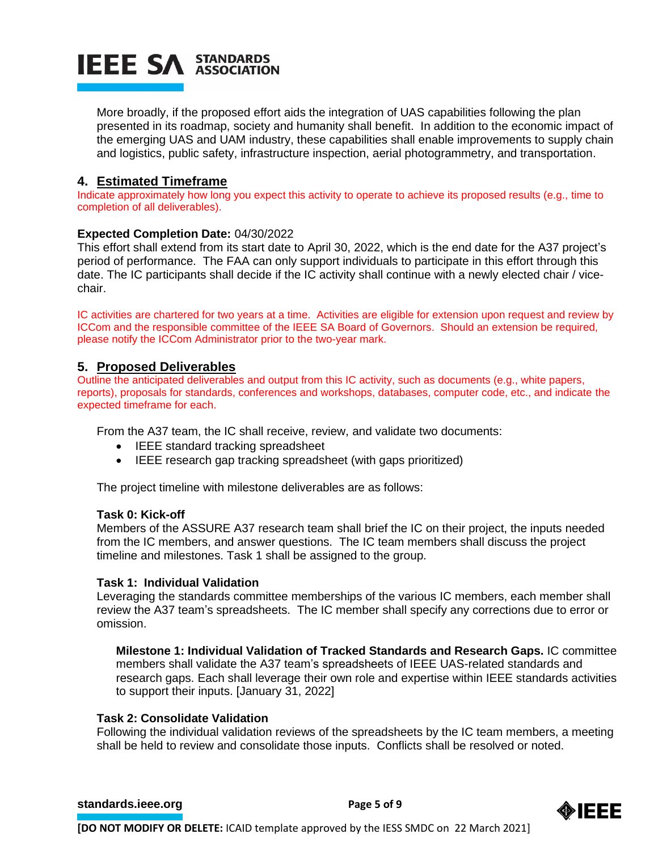More broadly, if the proposed effort aids the integration of UAS capabilities following the plan presented in its roadmap, society and humanity shall benefit. In addition to the economic impact of the emerging UAS and UAM industry, these capabilities shall enable improvements to supply chain and logistics, public safety, infrastructure inspection, aerial photogrammetry, and transportation.

### **4. Estimated Timeframe**

Indicate approximately how long you expect this activity to operate to achieve its proposed results (e.g., time to completion of all deliverables).

#### **Expected Completion Date:** 04/30/2022

This effort shall extend from its start date to April 30, 2022, which is the end date for the A37 project's period of performance. The FAA can only support individuals to participate in this effort through this date. The IC participants shall decide if the IC activity shall continue with a newly elected chair / vicechair.

IC activities are chartered for two years at a time. Activities are eligible for extension upon request and review by ICCom and the responsible committee of the IEEE SA Board of Governors. Should an extension be required, please notify the ICCom Administrator prior to the two-year mark.

#### **5. Proposed Deliverables**

Outline the anticipated deliverables and output from this IC activity, such as documents (e.g., white papers, reports), proposals for standards, conferences and workshops, databases, computer code, etc., and indicate the expected timeframe for each.

From the A37 team, the IC shall receive, review, and validate two documents:

- IEEE standard tracking spreadsheet
- IEEE research gap tracking spreadsheet (with gaps prioritized)

The project timeline with milestone deliverables are as follows:

#### **Task 0: Kick-off**

Members of the ASSURE A37 research team shall brief the IC on their project, the inputs needed from the IC members, and answer questions. The IC team members shall discuss the project timeline and milestones. Task 1 shall be assigned to the group.

#### **Task 1: Individual Validation**

Leveraging the standards committee memberships of the various IC members, each member shall review the A37 team's spreadsheets. The IC member shall specify any corrections due to error or omission.

**Milestone 1: Individual Validation of Tracked Standards and Research Gaps.** IC committee members shall validate the A37 team's spreadsheets of IEEE UAS-related standards and research gaps. Each shall leverage their own role and expertise within IEEE standards activities to support their inputs. [January 31, 2022]

#### **Task 2: Consolidate Validation**

Following the individual validation reviews of the spreadsheets by the IC team members, a meeting shall be held to review and consolidate those inputs. Conflicts shall be resolved or noted.

#### **[standards.ieee.org](http://standards.ieee.org/) EXECUTE: Page 5 of 9**

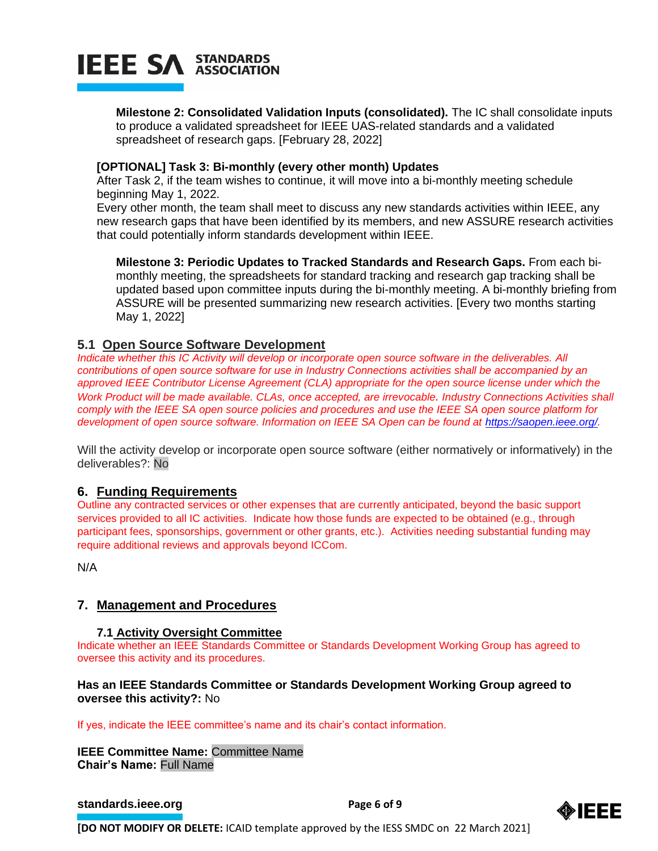

**Milestone 2: Consolidated Validation Inputs (consolidated).** The IC shall consolidate inputs to produce a validated spreadsheet for IEEE UAS-related standards and a validated spreadsheet of research gaps. [February 28, 2022]

#### **[OPTIONAL] Task 3: Bi-monthly (every other month) Updates**

After Task 2, if the team wishes to continue, it will move into a bi-monthly meeting schedule beginning May 1, 2022.

Every other month, the team shall meet to discuss any new standards activities within IEEE, any new research gaps that have been identified by its members, and new ASSURE research activities that could potentially inform standards development within IEEE.

**Milestone 3: Periodic Updates to Tracked Standards and Research Gaps.** From each bimonthly meeting, the spreadsheets for standard tracking and research gap tracking shall be updated based upon committee inputs during the bi-monthly meeting. A bi-monthly briefing from ASSURE will be presented summarizing new research activities. [Every two months starting May 1, 2022]

### **5.1 Open Source Software Development**

*Indicate whether this IC Activity will develop or incorporate open source software in the deliverables. All contributions of open source software for use in Industry Connections activities shall be accompanied by an approved IEEE Contributor License Agreement (CLA) appropriate for the open source license under which the Work Product will be made available. CLAs, once accepted, are irrevocable. Industry Connections Activities shall comply with the IEEE SA open source policies and procedures and use the IEEE SA open source platform for development of open source software. Information on IEEE SA Open can be found at [https://saopen.ieee.org/.](https://saopen.ieee.org/)* 

Will the activity develop or incorporate open source software (either normatively or informatively) in the deliverables?: No

#### **6. Funding Requirements**

Outline any contracted services or other expenses that are currently anticipated, beyond the basic support services provided to all IC activities. Indicate how those funds are expected to be obtained (e.g., through participant fees, sponsorships, government or other grants, etc.). Activities needing substantial funding may require additional reviews and approvals beyond ICCom.

N/A

#### **7. Management and Procedures**

#### **7.1 Activity Oversight Committee**

Indicate whether an IEEE Standards Committee or Standards Development Working Group has agreed to oversee this activity and its procedures.

#### **Has an IEEE Standards Committee or Standards Development Working Group agreed to oversee this activity?:** No

If yes, indicate the IEEE committee's name and its chair's contact information.

**IEEE Committee Name:** Committee Name **Chair's Name:** Full Name

**[standards.ieee.org](http://standards.ieee.org/) EXECUTE: Page 6 of 9** 

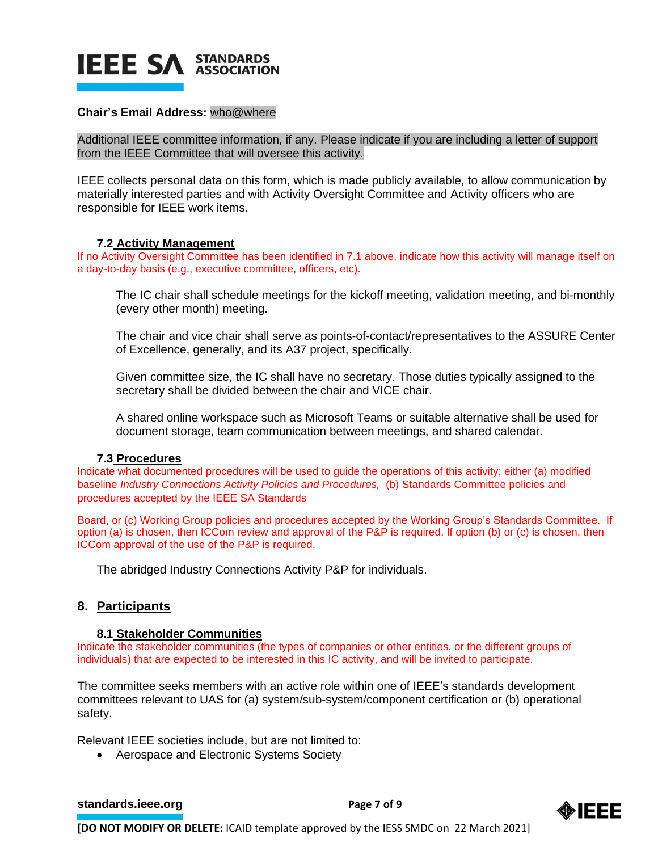

#### **Chair's Email Address:** who@where

Additional IEEE committee information, if any. Please indicate if you are including a letter of support from the IEEE Committee that will oversee this activity.

IEEE collects personal data on this form, which is made publicly available, to allow communication by materially interested parties and with Activity Oversight Committee and Activity officers who are responsible for IEEE work items.

#### **7.2 Activity Management**

If no Activity Oversight Committee has been identified in 7.1 above, indicate how this activity will manage itself on a day-to-day basis (e.g., executive committee, officers, etc).

The IC chair shall schedule meetings for the kickoff meeting, validation meeting, and bi-monthly (every other month) meeting.

The chair and vice chair shall serve as points-of-contact/representatives to the ASSURE Center of Excellence, generally, and its A37 project, specifically.

Given committee size, the IC shall have no secretary. Those duties typically assigned to the secretary shall be divided between the chair and VICE chair.

A shared online workspace such as Microsoft Teams or suitable alternative shall be used for document storage, team communication between meetings, and shared calendar.

#### **7.3 Procedures**

Indicate what documented procedures will be used to guide the operations of this activity; either (a) modified baseline *Industry Connections Activity Policies and Procedures,* (b) Standards Committee policies and procedures accepted by the IEEE SA Standards

Board, or (c) Working Group policies and procedures accepted by the Working Group's Standards Committee. If option (a) is chosen, then ICCom review and approval of the P&P is required. If option (b) or (c) is chosen, then ICCom approval of the use of the P&P is required.

The abridged Industry Connections Activity P&P for individuals.

#### **8. Participants**

#### **8.1 Stakeholder Communities**

Indicate the stakeholder communities (the types of companies or other entities, or the different groups of individuals) that are expected to be interested in this IC activity, and will be invited to participate.

The committee seeks members with an active role within one of IEEE's standards development committees relevant to UAS for (a) system/sub-system/component certification or (b) operational safety.

Relevant IEEE societies include, but are not limited to:

• Aerospace and Electronic Systems Society

**[standards.ieee.org](http://standards.ieee.org/) EXECUTE: Page 7 of 9** 

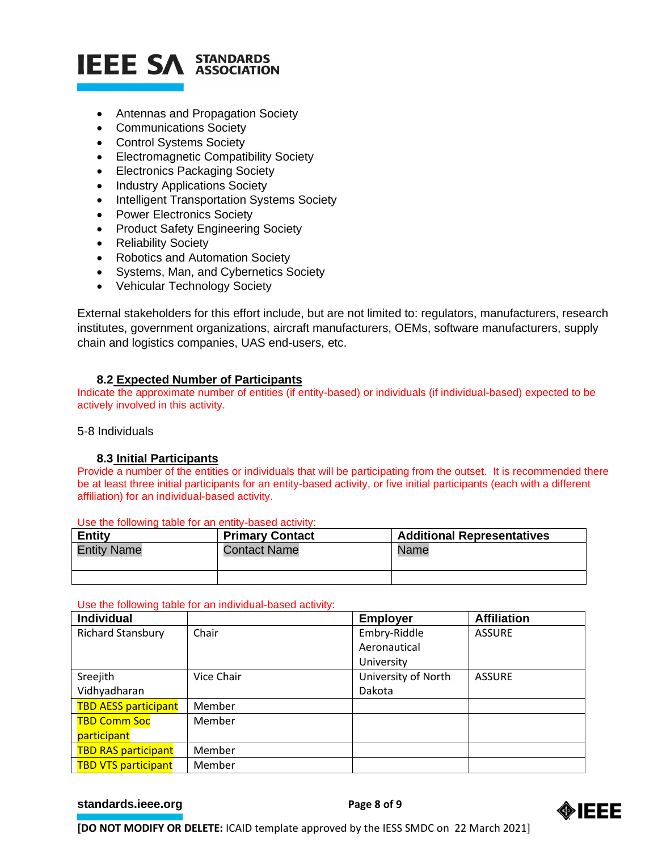- Antennas and Propagation Society
- Communications Society
- Control Systems Society
- Electromagnetic Compatibility Society
- Electronics Packaging Society
- Industry Applications Society
- Intelligent Transportation Systems Society
- Power Electronics Society
- Product Safety Engineering Society
- Reliability Society
- Robotics and Automation Society
- Systems, Man, and Cybernetics Society
- Vehicular Technology Society

External stakeholders for this effort include, but are not limited to: regulators, manufacturers, research institutes, government organizations, aircraft manufacturers, OEMs, software manufacturers, supply chain and logistics companies, UAS end-users, etc.

#### **8.2 Expected Number of Participants**

Indicate the approximate number of entities (if entity-based) or individuals (if individual-based) expected to be actively involved in this activity.

#### 5-8 Individuals

#### **8.3 Initial Participants**

Provide a number of the entities or individuals that will be participating from the outset. It is recommended there be at least three initial participants for an entity-based activity, or five initial participants (each with a different affiliation) for an individual-based activity.

| Entity             | <b>Primary Contact</b> | <b>Additional Representatives</b> |
|--------------------|------------------------|-----------------------------------|
| <b>Entity Name</b> | <b>Contact Name</b>    | Name                              |
|                    |                        |                                   |

Use the following table for an entity-based activity:

#### Use the following table for an individual-based activity:

| <b>Individual</b>           |            | <b>Employer</b>     | <b>Affiliation</b> |
|-----------------------------|------------|---------------------|--------------------|
| <b>Richard Stansbury</b>    | Chair      | Embry-Riddle        | <b>ASSURE</b>      |
|                             |            | Aeronautical        |                    |
|                             |            | University          |                    |
| Sreejith                    | Vice Chair | University of North | <b>ASSURE</b>      |
| Vidhyadharan                |            | Dakota              |                    |
| <b>TBD AESS participant</b> | Member     |                     |                    |
| <b>TBD Comm Soc</b>         | Member     |                     |                    |
| participant                 |            |                     |                    |
| <b>TBD RAS participant</b>  | Member     |                     |                    |
| <b>TBD VTS participant</b>  | Member     |                     |                    |

#### **[standards.ieee.org](http://standards.ieee.org/) EXECUTE: Page 8 of 9**